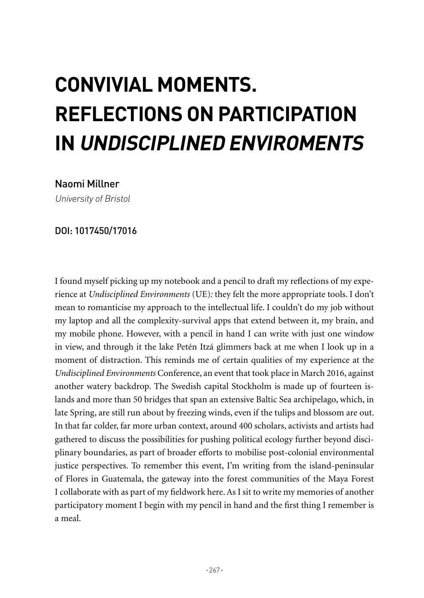## **CONVIVIAL MOMENTS. REFLECTIONS ON PARTICIPATION IN UNDISCIPLINED ENVIROMENTS**

## Naomi Millner

University of Bristol

## DOI: 1017450/17016

I found myself picking up my notebook and a pencil to draft my reflections of my experience at *Undisciplined Environments* (UE)*:* they felt the more appropriate tools. I don't mean to romanticise my approach to the intellectual life. I couldn't do my job without my laptop and all the complexity-survival apps that extend between it, my brain, and my mobile phone. However, with a pencil in hand I can write with just one window in view, and through it the lake Petén Itzá glimmers back at me when I look up in a moment of distraction. This reminds me of certain qualities of my experience at the *Undisciplined Environments* Conference, an event that took place in March 2016, against another watery backdrop. The Swedish capital Stockholm is made up of fourteen islands and more than 50 bridges that span an extensive Baltic Sea archipelago, which, in late Spring, are still run about by freezing winds, even if the tulips and blossom are out. In that far colder, far more urban context, around 400 scholars, activists and artists had gathered to discuss the possibilities for pushing political ecology further beyond disciplinary boundaries, as part of broader efforts to mobilise post-colonial environmental justice perspectives. To remember this event, I'm writing from the island-peninsular of Flores in Guatemala, the gateway into the forest communities of the Maya Forest I collaborate with as part of my fieldwork here. As I sit to write my memories of another participatory moment I begin with my pencil in hand and the first thing I remember is a meal.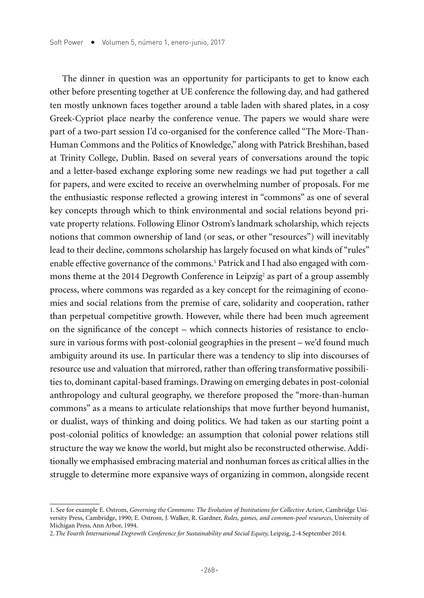The dinner in question was an opportunity for participants to get to know each other before presenting together at UE conference the following day, and had gathered ten mostly unknown faces together around a table laden with shared plates, in a cosy Greek-Cypriot place nearby the conference venue. The papers we would share were part of a two-part session I'd co-organised for the conference called "The More-Than-Human Commons and the Politics of Knowledge," along with Patrick Breshihan, based at Trinity College, Dublin. Based on several years of conversations around the topic and a letter-based exchange exploring some new readings we had put together a call for papers, and were excited to receive an overwhelming number of proposals. For me the enthusiastic response reflected a growing interest in "commons" as one of several key concepts through which to think environmental and social relations beyond private property relations. Following Elinor Ostrom's landmark scholarship, which rejects notions that common ownership of land (or seas, or other "resources") will inevitably lead to their decline, commons scholarship has largely focused on what kinds of "rules" enable effective governance of the commons.<sup>1</sup> Patrick and I had also engaged with commons theme at the 2014 Degrowth Conference in Leipzig<sup>2</sup> as part of a group assembly process, where commons was regarded as a key concept for the reimagining of economies and social relations from the premise of care, solidarity and cooperation, rather than perpetual competitive growth. However, while there had been much agreement on the significance of the concept – which connects histories of resistance to enclosure in various forms with post-colonial geographies in the present – we'd found much ambiguity around its use. In particular there was a tendency to slip into discourses of resource use and valuation that mirrored, rather than offering transformative possibilities to, dominant capital-based framings. Drawing on emerging debates in post-colonial anthropology and cultural geography, we therefore proposed the "more-than-human commons" as a means to articulate relationships that move further beyond humanist, or dualist, ways of thinking and doing politics. We had taken as our starting point a post-colonial politics of knowledge: an assumption that colonial power relations still structure the way we know the world, but might also be reconstructed otherwise. Additionally we emphasised embracing material and nonhuman forces as critical allies in the struggle to determine more expansive ways of organizing in common, alongside recent

<sup>1.</sup> See for example E. Ostrom, *Governing the Commons: The Evolution of Institutions for Collective Action*, Cambridge University Press, Cambridge, 1990; E. Ostrom, J. Walker, R. Gardner, *Rules, games, and common-pool resources*, University of Michigan Press, Ann Arbor, 1994.

<sup>2.</sup> The Fourth International Degrowth Conference for Sustainability and Social Equity, Leipzig, 2-4 September 2014.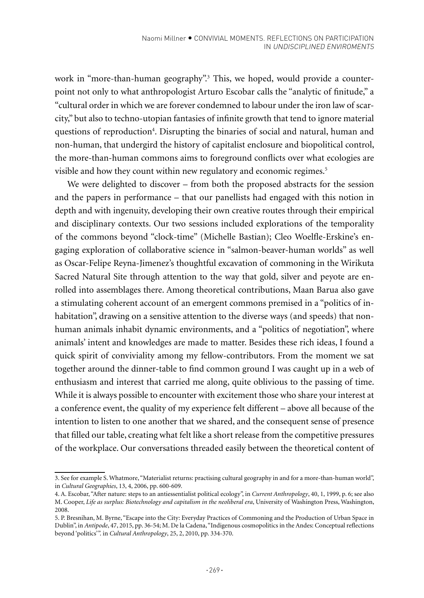work in "more-than-human geography".3 This, we hoped, would provide a counterpoint not only to what anthropologist Arturo Escobar calls the "analytic of finitude," a "cultural order in which we are forever condemned to labour under the iron law of scarcity," but also to techno-utopian fantasies of infinite growth that tend to ignore material questions of reproduction<sup>4</sup>. Disrupting the binaries of social and natural, human and non-human, that undergird the history of capitalist enclosure and biopolitical control, the more-than-human commons aims to foreground conflicts over what ecologies are visible and how they count within new regulatory and economic regimes.<sup>5</sup>

We were delighted to discover – from both the proposed abstracts for the session and the papers in performance – that our panellists had engaged with this notion in depth and with ingenuity, developing their own creative routes through their empirical and disciplinary contexts. Our two sessions included explorations of the temporality of the commons beyond "clock-time" (Michelle Bastian); Cleo Woelfle-Erskine's engaging exploration of collaborative science in "salmon-beaver-human worlds" as well as Oscar-Felipe Reyna-Jimenez's thoughtful excavation of commoning in the Wirikuta Sacred Natural Site through attention to the way that gold, silver and peyote are enrolled into assemblages there. Among theoretical contributions, Maan Barua also gave a stimulating coherent account of an emergent commons premised in a "politics of inhabitation", drawing on a sensitive attention to the diverse ways (and speeds) that nonhuman animals inhabit dynamic environments, and a "politics of negotiation", where animals' intent and knowledges are made to matter. Besides these rich ideas, I found a quick spirit of conviviality among my fellow-contributors. From the moment we sat together around the dinner-table to find common ground I was caught up in a web of enthusiasm and interest that carried me along, quite oblivious to the passing of time. While it is always possible to encounter with excitement those who share your interest at a conference event, the quality of my experience felt different – above all because of the intention to listen to one another that we shared, and the consequent sense of presence that filled our table, creating what felt like a short release from the competitive pressures of the workplace. Our conversations threaded easily between the theoretical content of

<sup>3.</sup> See for example S. Whatmore, "Materialist returns: practising cultural geography in and for a more-than-human world", in *Cultural Geographies*, 13, 4, 2006, pp. 600-609.

<sup>4.</sup> A. Escobar, "After nature: steps to an antiessentialist political ecology", in *Current Anthropology*, 40, 1, 1999, p. 6; see also M. Cooper, *Life as surplus: Biotechnology and capitalism in the neoliberal era*, University of Washington Press, Washington, 2008.

<sup>5.</sup> P. Bresnihan, M. Byrne, "Escape into the City: Everyday Practices of Commoning and the Production of Urban Space in Dublin", in *Antipode*, 47, 2015, pp. 36-54; M. De la Cadena, "Indigenous cosmopolitics in the Andes: Conceptual reflections beyond 'politics'". in *Cultural Anthropology*, 25, 2, 2010, pp. 334-370.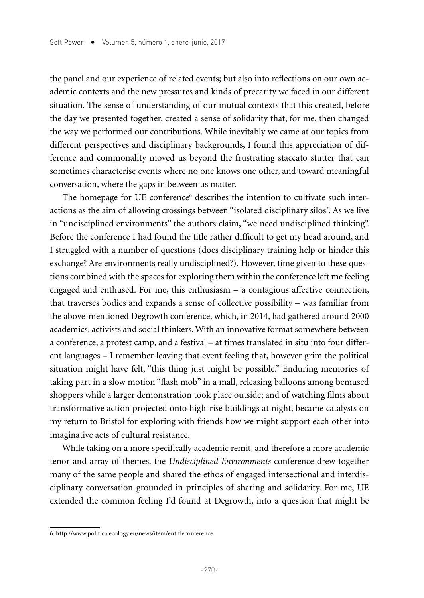the panel and our experience of related events; but also into reflections on our own academic contexts and the new pressures and kinds of precarity we faced in our different situation. The sense of understanding of our mutual contexts that this created, before the day we presented together, created a sense of solidarity that, for me, then changed the way we performed our contributions. While inevitably we came at our topics from different perspectives and disciplinary backgrounds, I found this appreciation of difference and commonality moved us beyond the frustrating staccato stutter that can sometimes characterise events where no one knows one other, and toward meaningful conversation, where the gaps in between us matter.

The homepage for UE conference<sup>6</sup> describes the intention to cultivate such interactions as the aim of allowing crossings between "isolated disciplinary silos". As we live in "undisciplined environments" the authors claim, "we need undisciplined thinking". Before the conference I had found the title rather difficult to get my head around, and I struggled with a number of questions (does disciplinary training help or hinder this exchange? Are environments really undisciplined?). However, time given to these questions combined with the spaces for exploring them within the conference left me feeling engaged and enthused. For me, this enthusiasm – a contagious affective connection, that traverses bodies and expands a sense of collective possibility – was familiar from the above-mentioned Degrowth conference, which, in 2014, had gathered around 2000 academics, activists and social thinkers. With an innovative format somewhere between a conference, a protest camp, and a festival – at times translated in situ into four different languages – I remember leaving that event feeling that, however grim the political situation might have felt, "this thing just might be possible." Enduring memories of taking part in a slow motion "flash mob" in a mall, releasing balloons among bemused shoppers while a larger demonstration took place outside; and of watching films about transformative action projected onto high-rise buildings at night, became catalysts on my return to Bristol for exploring with friends how we might support each other into imaginative acts of cultural resistance.

While taking on a more specifically academic remit, and therefore a more academic tenor and array of themes, the *Undisciplined Environments* conference drew together many of the same people and shared the ethos of engaged intersectional and interdisciplinary conversation grounded in principles of sharing and solidarity. For me, UE extended the common feeling I'd found at Degrowth, into a question that might be

<sup>6.</sup> http://www.politicalecology.eu/news/item/entitleconference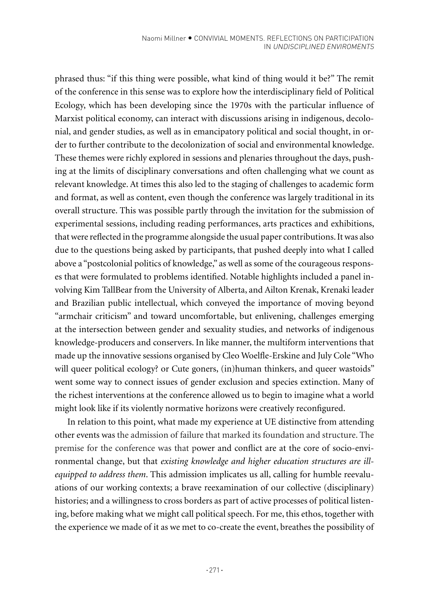phrased thus: "if this thing were possible, what kind of thing would it be?" The remit of the conference in this sense was to explore how the interdisciplinary field of Political Ecology, which has been developing since the 1970s with the particular influence of Marxist political economy, can interact with discussions arising in indigenous, decolonial, and gender studies, as well as in emancipatory political and social thought, in order to further contribute to the decolonization of social and environmental knowledge. These themes were richly explored in sessions and plenaries throughout the days, pushing at the limits of disciplinary conversations and often challenging what we count as relevant knowledge. At times this also led to the staging of challenges to academic form and format, as well as content, even though the conference was largely traditional in its overall structure. This was possible partly through the invitation for the submission of experimental sessions, including reading performances, arts practices and exhibitions, that were reflected in the programme alongside the usual paper contributions. It was also due to the questions being asked by participants, that pushed deeply into what I called above a "postcolonial politics of knowledge," as well as some of the courageous responses that were formulated to problems identified. Notable highlights included a panel involving Kim TallBear from the University of Alberta, and Ailton Krenak, Krenaki leader and Brazilian public intellectual, which conveyed the importance of moving beyond "armchair criticism" and toward uncomfortable, but enlivening, challenges emerging at the intersection between gender and sexuality studies, and networks of indigenous knowledge-producers and conservers. In like manner, the multiform interventions that made up the innovative sessions organised by Cleo Woelfle-Erskine and July Cole "Who will queer political ecology? or Cute goners, (in)human thinkers, and queer wastoids" went some way to connect issues of gender exclusion and species extinction. Many of the richest interventions at the conference allowed us to begin to imagine what a world might look like if its violently normative horizons were creatively reconfigured.

In relation to this point, what made my experience at UE distinctive from attending other events was the admission of failure that marked its foundation and structure. The premise for the conference was that power and conflict are at the core of socio-environmental change, but that *existing knowledge and higher education structures are illequipped to address them*. This admission implicates us all, calling for humble reevaluations of our working contexts; a brave reexamination of our collective (disciplinary) histories; and a willingness to cross borders as part of active processes of political listening, before making what we might call political speech. For me, this ethos, together with the experience we made of it as we met to co-create the event, breathes the possibility of